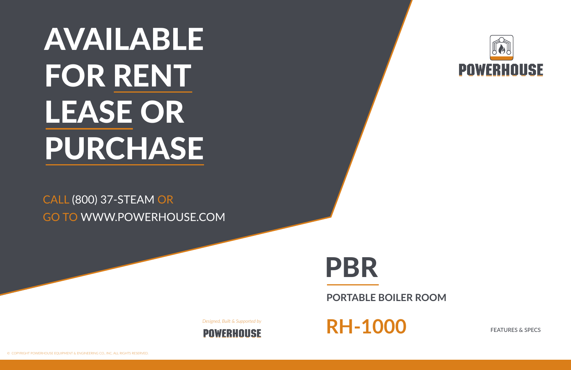PBR

**PORTABLE BOILER ROOM**





# RENT PURCHASE AVAILABLE FOR RENT LEASE OR

### CALL (800) 37-STEAM OR GO TO WWW.POWERHOUSE.COM

*Designed, Built & Supported by*



RH-1000 FEATURES & SPECS